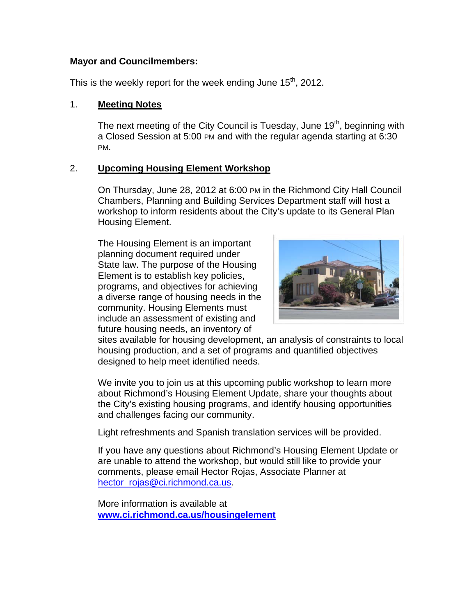# **Mayor and Councilmembers:**

This is the weekly report for the week ending June  $15<sup>th</sup>$ , 2012.

# 1. **Meeting Notes**

The next meeting of the City Council is Tuesday, June 19<sup>th</sup>, beginning with a Closed Session at 5:00 PM and with the regular agenda starting at 6:30 PM.

# 2. **Upcoming Housing Element Workshop**

On Thursday, June 28, 2012 at 6:00 PM in the Richmond City Hall Council Chambers, Planning and Building Services Department staff will host a workshop to inform residents about the City's update to its General Plan Housing Element.

The Housing Element is an important planning document required under State law. The purpose of the Housing Element is to establish key policies, programs, and objectives for achieving a diverse range of housing needs in the community. Housing Elements must include an assessment of existing and future housing needs, an inventory of



sites available for housing development, an analysis of constraints to local housing production, and a set of programs and quantified objectives designed to help meet identified needs.

We invite you to join us at this upcoming public workshop to learn more about Richmond's Housing Element Update, share your thoughts about the City's existing housing programs, and identify housing opportunities and challenges facing our community.

Light refreshments and Spanish translation services will be provided.

If you have any questions about Richmond's Housing Element Update or are unable to attend the workshop, but would still like to provide your comments, please email Hector Rojas, Associate Planner at hector\_rojas@ci.richmond.ca.us.

More information is available at **www.ci.richmond.ca.us/housingelement**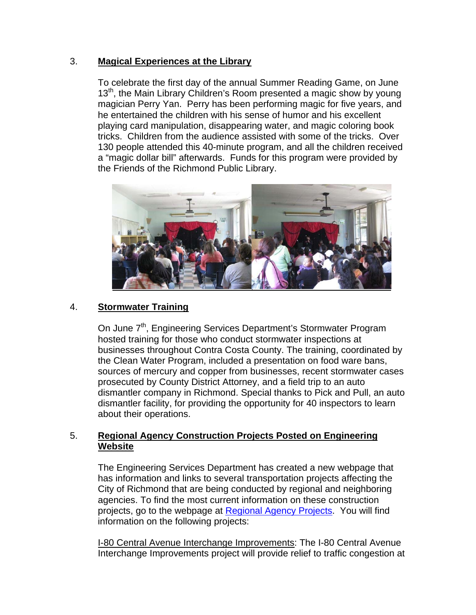# 3. **Magical Experiences at the Library**

To celebrate the first day of the annual Summer Reading Game, on June 13<sup>th</sup>, the Main Library Children's Room presented a magic show by young magician Perry Yan. Perry has been performing magic for five years, and he entertained the children with his sense of humor and his excellent playing card manipulation, disappearing water, and magic coloring book tricks. Children from the audience assisted with some of the tricks. Over 130 people attended this 40-minute program, and all the children received a "magic dollar bill" afterwards. Funds for this program were provided by the Friends of the Richmond Public Library.



# 4. **Stormwater Training**

On June 7<sup>th</sup>, Engineering Services Department's Stormwater Program hosted training for those who conduct stormwater inspections at businesses throughout Contra Costa County. The training, coordinated by the Clean Water Program, included a presentation on food ware bans, sources of mercury and copper from businesses, recent stormwater cases prosecuted by County District Attorney, and a field trip to an auto dismantler company in Richmond. Special thanks to Pick and Pull, an auto dismantler facility, for providing the opportunity for 40 inspectors to learn about their operations.

# 5. **Regional Agency Construction Projects Posted on Engineering Website**

The Engineering Services Department has created a new webpage that has information and links to several transportation projects affecting the City of Richmond that are being conducted by regional and neighboring agencies. To find the most current information on these construction projects, go to the webpage at Regional Agency Projects. You will find information on the following projects:

I-80 Central Avenue Interchange Improvements: The I-80 Central Avenue Interchange Improvements project will provide relief to traffic congestion at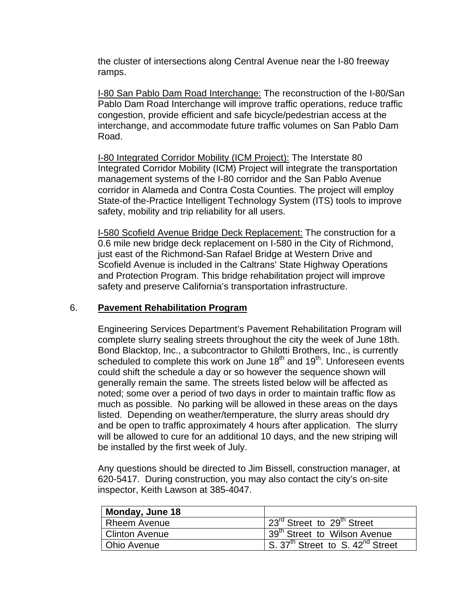the cluster of intersections along Central Avenue near the I-80 freeway ramps.

I-80 San Pablo Dam Road Interchange: The reconstruction of the I-80/San Pablo Dam Road Interchange will improve traffic operations, reduce traffic congestion, provide efficient and safe bicycle/pedestrian access at the interchange, and accommodate future traffic volumes on San Pablo Dam Road.

I-80 Integrated Corridor Mobility (ICM Project): The Interstate 80 Integrated Corridor Mobility (ICM) Project will integrate the transportation management systems of the I-80 corridor and the San Pablo Avenue corridor in Alameda and Contra Costa Counties. The project will employ State-of the-Practice Intelligent Technology System (ITS) tools to improve safety, mobility and trip reliability for all users.

I-580 Scofield Avenue Bridge Deck Replacement: The construction for a 0.6 mile new bridge deck replacement on I-580 in the City of Richmond, just east of the Richmond-San Rafael Bridge at Western Drive and Scofield Avenue is included in the Caltrans' State Highway Operations and Protection Program. This bridge rehabilitation project will improve safety and preserve California's transportation infrastructure.

### 6. **Pavement Rehabilitation Program**

Engineering Services Department's Pavement Rehabilitation Program will complete slurry sealing streets throughout the city the week of June 18th. Bond Blacktop, Inc., a subcontractor to Ghilotti Brothers, Inc., is currently scheduled to complete this work on June  $18<sup>th</sup>$  and  $19<sup>th</sup>$ . Unforeseen events could shift the schedule a day or so however the sequence shown will generally remain the same. The streets listed below will be affected as noted; some over a period of two days in order to maintain traffic flow as much as possible. No parking will be allowed in these areas on the days listed. Depending on weather/temperature, the slurry areas should dry and be open to traffic approximately 4 hours after application. The slurry will be allowed to cure for an additional 10 days, and the new striping will be installed by the first week of July.

Any questions should be directed to Jim Bissell, construction manager, at 620-5417. During construction, you may also contact the city's on-site inspector, Keith Lawson at 385-4047.

| Monday, June 18 |                                                          |
|-----------------|----------------------------------------------------------|
| l Rheem Avenue  | 23 <sup>rd</sup> Street to 29 <sup>th</sup> Street       |
| Clinton Avenue  | 139 <sup>th</sup> Street to Wilson Avenue                |
| Ohio Avenue     | S. 37 <sup>th</sup> Street to S. 42 <sup>nd</sup> Street |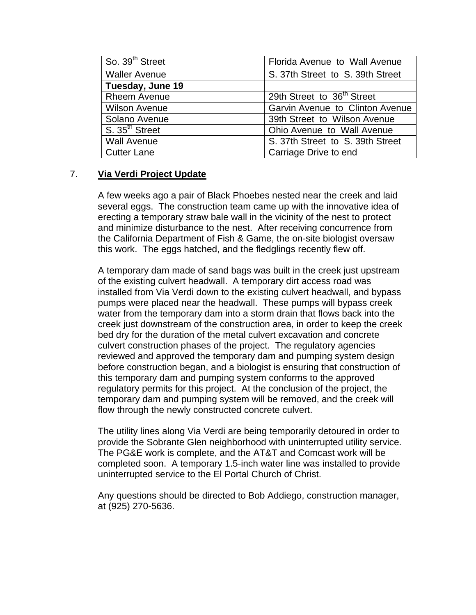| So. 39 <sup>th</sup> Street | Florida Avenue to Wall Avenue          |
|-----------------------------|----------------------------------------|
| <b>Waller Avenue</b>        | S. 37th Street to S. 39th Street       |
| Tuesday, June 19            |                                        |
| <b>Rheem Avenue</b>         | 29th Street to 36 <sup>th</sup> Street |
| <b>Wilson Avenue</b>        | Garvin Avenue to Clinton Avenue        |
| Solano Avenue               | 39th Street to Wilson Avenue           |
| S. 35 <sup>th</sup> Street  | Ohio Avenue to Wall Avenue             |
| <b>Wall Avenue</b>          | S. 37th Street to S. 39th Street       |
| Cutter Lane                 | Carriage Drive to end                  |

# 7. **Via Verdi Project Update**

A few weeks ago a pair of Black Phoebes nested near the creek and laid several eggs. The construction team came up with the innovative idea of erecting a temporary straw bale wall in the vicinity of the nest to protect and minimize disturbance to the nest. After receiving concurrence from the California Department of Fish & Game, the on-site biologist oversaw this work. The eggs hatched, and the fledglings recently flew off.

A temporary dam made of sand bags was built in the creek just upstream of the existing culvert headwall. A temporary dirt access road was installed from Via Verdi down to the existing culvert headwall, and bypass pumps were placed near the headwall. These pumps will bypass creek water from the temporary dam into a storm drain that flows back into the creek just downstream of the construction area, in order to keep the creek bed dry for the duration of the metal culvert excavation and concrete culvert construction phases of the project. The regulatory agencies reviewed and approved the temporary dam and pumping system design before construction began, and a biologist is ensuring that construction of this temporary dam and pumping system conforms to the approved regulatory permits for this project. At the conclusion of the project, the temporary dam and pumping system will be removed, and the creek will flow through the newly constructed concrete culvert.

The utility lines along Via Verdi are being temporarily detoured in order to provide the Sobrante Glen neighborhood with uninterrupted utility service. The PG&E work is complete, and the AT&T and Comcast work will be completed soon. A temporary 1.5-inch water line was installed to provide uninterrupted service to the El Portal Church of Christ.

Any questions should be directed to Bob Addiego, construction manager, at (925) 270-5636.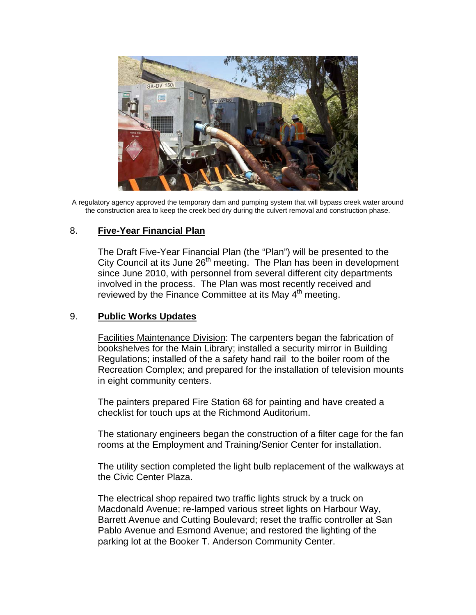

A regulatory agency approved the temporary dam and pumping system that will bypass creek water around the construction area to keep the creek bed dry during the culvert removal and construction phase.

# 8. **Five-Year Financial Plan**

The Draft Five-Year Financial Plan (the "Plan") will be presented to the City Council at its June 26<sup>th</sup> meeting. The Plan has been in development since June 2010, with personnel from several different city departments involved in the process. The Plan was most recently received and reviewed by the Finance Committee at its May  $4<sup>th</sup>$  meeting.

# 9. **Public Works Updates**

Facilities Maintenance Division: The carpenters began the fabrication of bookshelves for the Main Library; installed a security mirror in Building Regulations; installed of the a safety hand rail to the boiler room of the Recreation Complex; and prepared for the installation of television mounts in eight community centers.

The painters prepared Fire Station 68 for painting and have created a checklist for touch ups at the Richmond Auditorium.

The stationary engineers began the construction of a filter cage for the fan rooms at the Employment and Training/Senior Center for installation.

The utility section completed the light bulb replacement of the walkways at the Civic Center Plaza.

The electrical shop repaired two traffic lights struck by a truck on Macdonald Avenue; re-lamped various street lights on Harbour Way, Barrett Avenue and Cutting Boulevard; reset the traffic controller at San Pablo Avenue and Esmond Avenue; and restored the lighting of the parking lot at the Booker T. Anderson Community Center.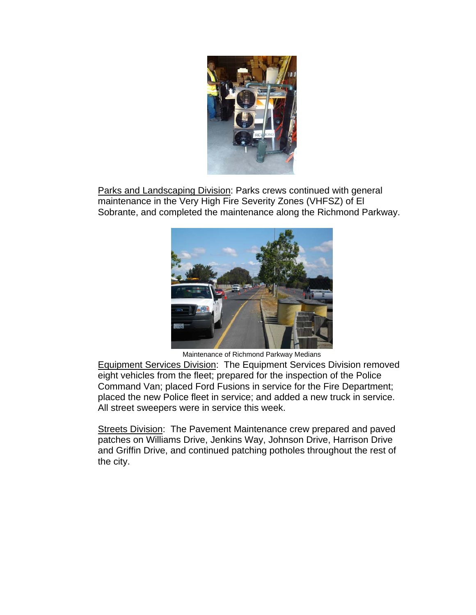

Parks and Landscaping Division: Parks crews continued with general maintenance in the Very High Fire Severity Zones (VHFSZ) of El Sobrante, and completed the maintenance along the Richmond Parkway.



Maintenance of Richmond Parkway Medians

Equipment Services Division: The Equipment Services Division removed eight vehicles from the fleet; prepared for the inspection of the Police Command Van; placed Ford Fusions in service for the Fire Department; placed the new Police fleet in service; and added a new truck in service. All street sweepers were in service this week.

Streets Division: The Pavement Maintenance crew prepared and paved patches on Williams Drive, Jenkins Way, Johnson Drive, Harrison Drive and Griffin Drive, and continued patching potholes throughout the rest of the city.